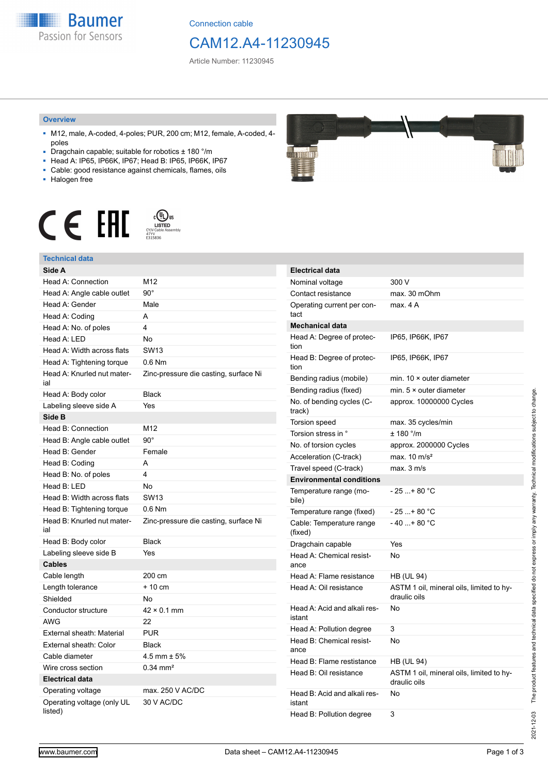**Baumer** Passion for Sensors

Connection cable

# CAM12.A4-11230945

Article Number: 11230945

#### **Overview**

- M12, male, A-coded, 4-poles; PUR, 200 cm; M12, female, A-coded, 4 poles
- Dragchain capable; suitable for robotics ± 180 °/m
- Head A: IP65, IP66K, IP67; Head B: IP65, IP66K, IP67
- Cable: good resistance against chemicals, flames, oils
- Halogen free



# **Technical data**

| Side A                                |                                       |
|---------------------------------------|---------------------------------------|
| Head A: Connection                    | M12                                   |
| Head A: Angle cable outlet            | $90^{\circ}$                          |
| Head A: Gender                        | Male                                  |
| Head A: Coding                        | A                                     |
| Head A: No. of poles                  | 4                                     |
| Head A: LED                           | No                                    |
| Head A: Width across flats            | <b>SW13</b>                           |
| Head A: Tightening torque             | $0.6$ Nm                              |
| Head A: Knurled nut mater-<br>ial     | Zinc-pressure die casting, surface Ni |
| Head A: Body color                    | <b>Black</b>                          |
| Labeling sleeve side A                | Yes                                   |
| Side B                                |                                       |
| Head B: Connection                    | M12                                   |
| Head B: Angle cable outlet            | $90^\circ$                            |
| Head B: Gender                        | Female                                |
| Head B: Coding                        | A                                     |
| Head B: No. of poles                  | 4                                     |
| Head B: LED                           | No                                    |
| Head B: Width across flats            | <b>SW13</b>                           |
| Head B: Tightening torque             | $0.6$ Nm                              |
| Head B: Knurled nut mater-<br>ial     | Zinc-pressure die casting, surface Ni |
| Head B: Body color                    | <b>Black</b>                          |
| Labeling sleeve side B                | Yes                                   |
| <b>Cables</b>                         |                                       |
| Cable length                          | 200 cm                                |
| Length tolerance                      | $+10$ cm                              |
| Shielded                              | No                                    |
| Conductor structure                   | $42 \times 0.1$ mm                    |
| <b>AWG</b>                            | 22                                    |
| External sheath: Material             | <b>PUR</b>                            |
| External sheath: Color                | <b>Black</b>                          |
| Cable diameter                        | 4.5 mm $\pm$ 5%                       |
| Wire cross section                    | $0.34 \, \text{mm}^2$                 |
| <b>Electrical data</b>                |                                       |
| Operating voltage                     | max. 250 V AC/DC                      |
| Operating voltage (only UL<br>listed) | 30 V AC/DC                            |



| <b>Electrical data</b>                 |                                                          |
|----------------------------------------|----------------------------------------------------------|
| Nominal voltage                        | 300 V                                                    |
| Contact resistance                     | max. 30 mOhm                                             |
| Operating current per con-<br>tact     | max. 4 A                                                 |
| <b>Mechanical data</b>                 |                                                          |
| Head A: Degree of protec-<br>tion      | IP65, IP66K, IP67                                        |
| Head B: Degree of protec-<br>tion      | IP65, IP66K, IP67                                        |
| Bending radius (mobile)                | min. $10 \times$ outer diameter                          |
| Bending radius (fixed)                 | min. $5 \times$ outer diameter                           |
| No. of bending cycles (C-<br>track)    | approx. 10000000 Cycles                                  |
| <b>Torsion speed</b>                   | max. 35 cycles/min                                       |
| Torsion stress in °                    | ± 180 °/m                                                |
| No. of torsion cycles                  | approx. 2000000 Cycles                                   |
| Acceleration (C-track)                 | max. $10 \text{ m/s}^2$                                  |
| Travel speed (C-track)                 | max. 3 m/s                                               |
| <b>Environmental conditions</b>        |                                                          |
| Temperature range (mo-<br>bile)        | - 25 + 80 °C                                             |
| Temperature range (fixed)              | - 25 + 80 °C                                             |
| Cable: Temperature range<br>(fixed)    | $-40+80 °C$                                              |
| Dragchain capable                      | Yes                                                      |
| Head A: Chemical resist-<br>ance       | No                                                       |
| Head A: Flame resistance               | HB (UL 94)                                               |
| Head A: Oil resistance                 | ASTM 1 oil, mineral oils, limited to hy-<br>draulic oils |
| Head A: Acid and alkali res-<br>istant | No                                                       |
| Head A: Pollution degree               | 3                                                        |
| Head B: Chemical resist-<br>ance       | No                                                       |
| Head B: Flame restistance              | HB (UL 94)                                               |
| Head B: Oil resistance                 | ASTM 1 oil, mineral oils, limited to hy-<br>draulic oils |
| Head B: Acid and alkali res-<br>istant | No                                                       |
| Head B: Pollution degree               | 3                                                        |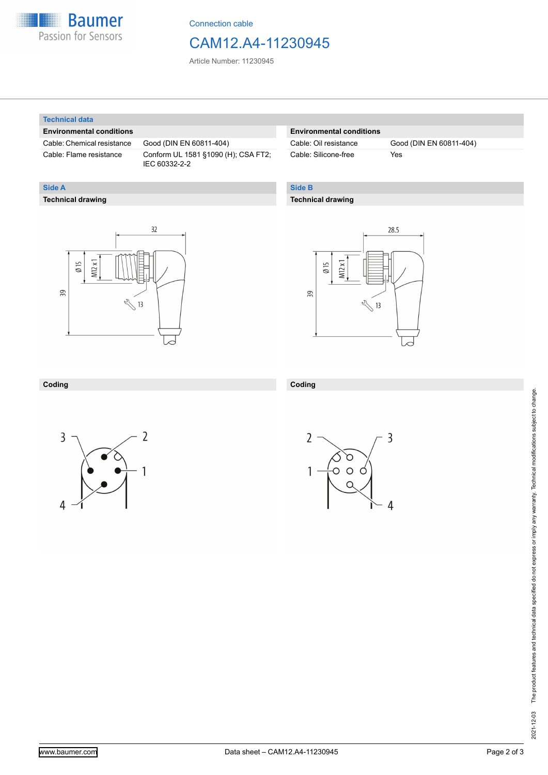

Connection cable

# CAM12.A4-11230945

Article Number: 11230945

#### **Technical data**

**Technical drawing**

**Side A**

### **Environmental conditions**

Cable: Chemical resistance Good (DIN EN 60811-404)

Cable: Flame resistance Conform UL 1581 §1090 (H); CSA FT2; IEC 60332-2-2

## **Environmental conditions**

Cable: Silicone-free Yes

Cable: Oil resistance Good (DIN EN 60811-404)

# **Side B**

### **Technical drawing**

 $32$  $M12x1$  $\emptyset$  15 39  $\sqrt[3]{13}$ 



### **Coding**



**Coding**